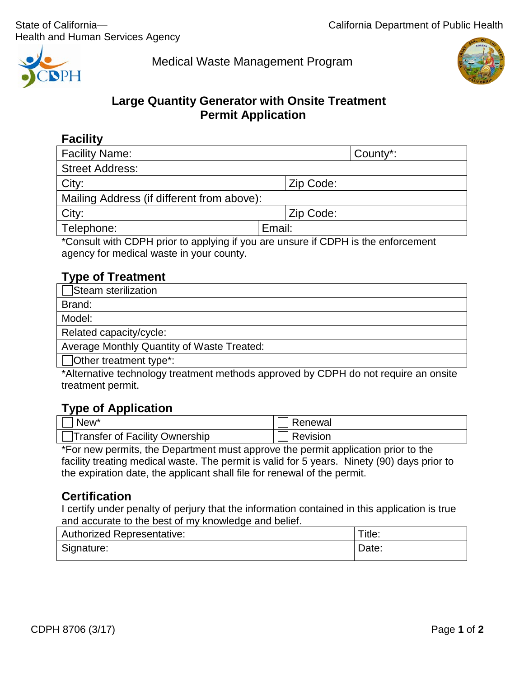

Medical Waste Management Program



# **Large Quantity Generator with Onsite Treatment Permit Application**

| 41 F<br>▼ |
|-----------|
|-----------|

| <b>Facility Name:</b>                                                                                                                                                                                                                                                                                                                                                                                                                                     | County*:                               |  |  |
|-----------------------------------------------------------------------------------------------------------------------------------------------------------------------------------------------------------------------------------------------------------------------------------------------------------------------------------------------------------------------------------------------------------------------------------------------------------|----------------------------------------|--|--|
| <b>Street Address:</b>                                                                                                                                                                                                                                                                                                                                                                                                                                    |                                        |  |  |
| City:                                                                                                                                                                                                                                                                                                                                                                                                                                                     | Zip Code:                              |  |  |
| Mailing Address (if different from above):                                                                                                                                                                                                                                                                                                                                                                                                                |                                        |  |  |
| City:                                                                                                                                                                                                                                                                                                                                                                                                                                                     | Zip Code:                              |  |  |
| Telephone:                                                                                                                                                                                                                                                                                                                                                                                                                                                | Email:                                 |  |  |
| $\mathbf{A}$ $\mathbf{A}$ $\mathbf{A}$ $\mathbf{A}$ $\mathbf{A}$ $\mathbf{A}$ $\mathbf{A}$ $\mathbf{A}$ $\mathbf{A}$ $\mathbf{A}$ $\mathbf{A}$ $\mathbf{A}$ $\mathbf{A}$ $\mathbf{A}$ $\mathbf{A}$ $\mathbf{A}$ $\mathbf{A}$ $\mathbf{A}$ $\mathbf{A}$ $\mathbf{A}$ $\mathbf{A}$ $\mathbf{A}$ $\mathbf{A}$ $\mathbf{A}$ $\mathbf{$<br>the contract of the contract of the contract of the contract of the contract of the contract of the contract of<br> | $\mathbf{z}$ . The set of $\mathbf{z}$ |  |  |

\*Consult with CDPH prior to applying if you are unsure if CDPH is the enforcement agency for medical waste in your county.

# **Type of Treatment**

| Steam sterilization                               |
|---------------------------------------------------|
| Brand:                                            |
| Model:                                            |
| Related capacity/cycle:                           |
| <b>Average Monthly Quantity of Waste Treated:</b> |
| $\Box$ Other treatment type*:                     |

\*Alternative technology treatment methods approved by CDPH do not require an onsite treatment permit.

## **Type of Application**

| . .<br>New <sup>*</sup>        | Renewal  |
|--------------------------------|----------|
| Transfer of Facility Ownership | Revision |

\*For new permits, the Department must approve the permit application prior to the facility treating medical waste. The permit is valid for 5 years. Ninety (90) days prior to the expiration date, the applicant shall file for renewal of the permit.

## **Certification**

I certify under penalty of perjury that the information contained in this application is true and accurate to the best of my knowledge and belief.

| <b>Authorized Representative:</b> | Title: |
|-----------------------------------|--------|
| Signature:                        | Date:  |